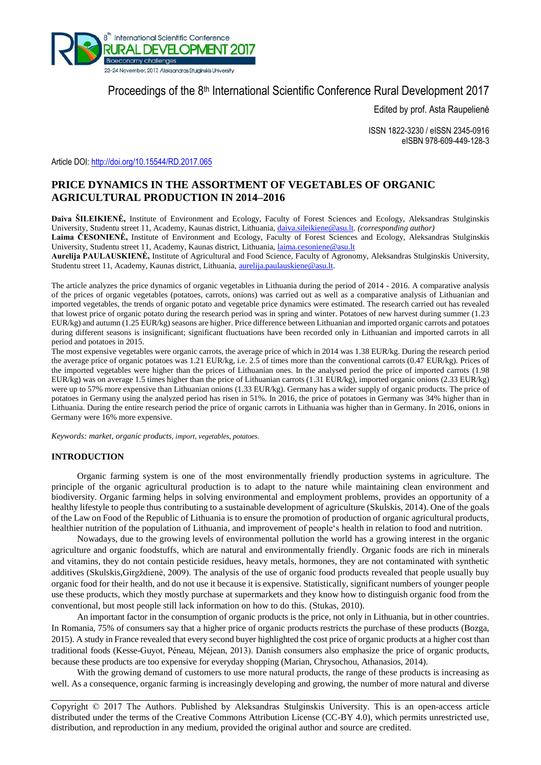

# Proceedings of the 8<sup>th</sup> International Scientific Conference Rural Development 2017

Edited by prof. Asta Raupelienė

ISSN 1822-3230 / eISSN 2345-0916 eISBN 978-609-449-128-3

Article DOI: <http://doi.org/10.15544/RD.2017.065>

# **PRICE DYNAMICS IN THE ASSORTMENT OF VEGETABLES OF ORGANIC AGRICULTURAL PRODUCTION IN 2014–2016**

**Daiva ŠILEIKIENĖ,** Institute of Environment and Ecology, Faculty of Forest Sciences and Ecology, Aleksandras Stulginskis University, Studentu street 11, Academy, Kaunas district, Lithuania, [daiva.sileikiene@asu.lt](mailto:daiva.sileikiene@asu.lt)*. (corresponding author)*

**Laima ČESONIENĖ,** Institute of Environment and Ecology, Faculty of Forest Sciences and Ecology, Aleksandras Stulginskis University, Studentu street 11, Academy, Kaunas district, Lithuania, [laima.cesoniene@asu.lt](mailto:laima.cesoniene@asu.lt)

**Aurelija PAULAUSKIENĖ,** Institute of Agricultural and Food Science, Faculty of Agronomy, Aleksandras Stulginskis University, Studentu street 11, Academy, Kaunas district, Lithuania, [aurelija.paulauskiene@asu.lt.](mailto:aurelija.paulauskiene@asu.lt) 

The article analyzes the price dynamics of organic vegetables in Lithuania during the period of 2014 - 2016. A comparative analysis of the prices of organic vegetables (potatoes, carrots, onions) was carried out as well as a comparative analysis of Lithuanian and imported vegetables, the trends of organic potato and vegetable price dynamics were estimated. The research carried out has revealed that lowest price of organic potato during the research period was in spring and winter. Potatoes of new harvest during summer (1.23 EUR/kg) and autumn (1.25 EUR/kg) seasons are higher. Price difference between Lithuanian and imported organic carrots and potatoes during different seasons is insignificant; significant fluctuations have been recorded only in Lithuanian and imported carrots in all period and potatoes in 2015.

The most expensive vegetables were organic carrots, the average price of which in 2014 was 1.38 EUR/kg. During the research period the average price of organic potatoes was 1.21 EUR/kg, i.e. 2.5 of times more than the conventional carrots (0.47 EUR/kg). Prices of the imported vegetables were higher than the prices of Lithuanian ones. In the analysed period the price of imported carrots (1.98 EUR/kg) was on average 1.5 times higher than the price of Lithuanian carrots (1.31 EUR/kg), imported organic onions (2.33 EUR/kg) were up to 57% more expensive than Lithuanian onions (1.33 EUR/kg). Germany has a wider supply of organic products. The price of potatoes in Germany using the analyzed period has risen in 51%. In 2016, the price of potatoes in Germany was 34% higher than in Lithuania. During the entire research period the price of organic carrots in Lithuania was higher than in Germany. In 2016, onions in Germany were 16% more expensive.

*Keywords: market, organic products, import, vegetables, potatoes.*

## **INTRODUCTION**

Organic farming system is one of the most environmentally friendly production systems in agriculture. The principle of the organic agricultural production is to adapt to the nature while maintaining clean environment and biodiversity. Organic farming helps in solving environmental and employment problems, provides an opportunity of a healthy lifestyle to people thus contributing to a sustainable development of agriculture (Skulskis, 2014). One of the goals of the Law on Food of the Republic of Lithuania is to ensure the promotion of production of organic agricultural products, healthier nutrition of the population of Lithuania, and improvement of people's health in relation to food and nutrition.

Nowadays, due to the growing levels of environmental pollution the world has a growing interest in the organic agriculture and organic foodstuffs, which are natural and environmentally friendly. Organic foods are rich in minerals and vitamins, they do not contain pesticide residues, heavy metals, hormones, they are not contaminated with synthetic additives (Skulskis,Girgždienė, 2009). The analysis of the use of organic food products revealed that people usually buy organic food for their health, and do not use it because it is expensive. Statistically, significant numbers of younger people use these products, which they mostly purchase at supermarkets and they know how to distinguish organic food from the conventional, but most people still lack information on how to do this. (Stukas, 2010).

An important factor in the consumption of organic products is the price, not only in Lithuania, but in other countries. In Romania, 75% of consumers say that a higher price of organic products restricts the purchase of these products (Bozga, 2015). A study in France revealed that every second buyer highlighted the cost price of organic products at a higher cost than traditional foods (Kesse-Guyot, Péneau, Méjean, 2013). Danish consumers also emphasize the price of organic products, because these products are too expensive for everyday shopping (Marian, Chrysochou, Athanasios, 2014).

With the growing demand of customers to use more natural products, the range of these products is increasing as well. As a consequence, organic farming is increasingly developing and growing, the number of more natural and diverse

Copyright © 2017 The Authors. Published by Aleksandras Stulginskis University. This is an open-access article distributed under the terms of the Creative Commons Attribution License (CC-BY 4.0), which permits unrestricted use, distribution, and reproduction in any medium, provided the original author and source are credited.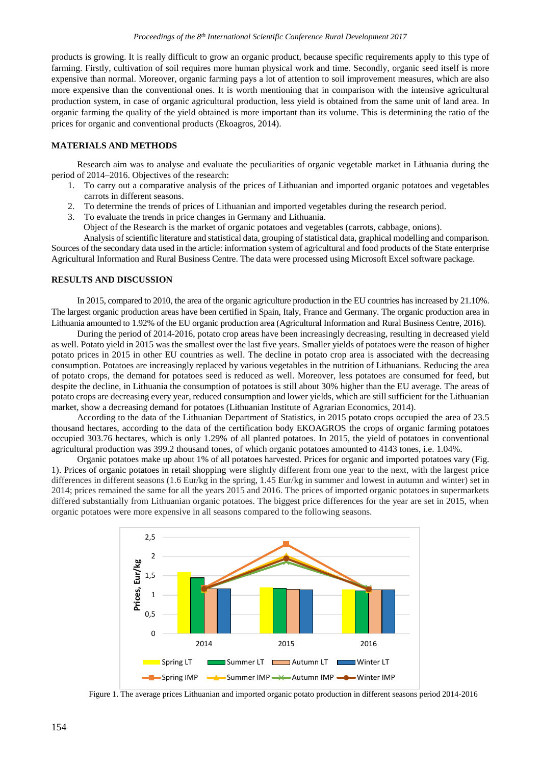products is growing. It is really difficult to grow an organic product, because specific requirements apply to this type of farming. Firstly, cultivation of soil requires more human physical work and time. Secondly, organic seed itself is more expensive than normal. Moreover, organic farming pays a lot of attention to soil improvement measures, which are also more expensive than the conventional ones. It is worth mentioning that in comparison with the intensive agricultural production system, in case of organic agricultural production, less yield is obtained from the same unit of land area. In organic farming the quality of the yield obtained is more important than its volume. This is determining the ratio of the prices for organic and conventional products (Ekoagros, 2014).

## **MATERIALS AND METHODS**

Research aim was to analyse and evaluate the peculiarities of organic vegetable market in Lithuania during the period of 2014–2016. Objectives of the research:

- 1. To carry out a comparative analysis of the prices of Lithuanian and imported organic potatoes and vegetables carrots in different seasons.
- 2. To determine the trends of prices of Lithuanian and imported vegetables during the research period.
- 3. To evaluate the trends in price changes in Germany and Lithuania. Object of the Research is the market of organic potatoes and vegetables (carrots, cabbage, onions). Analysis of scientific literature and statistical data, grouping of statistical data, graphical modelling and comparison.

Sources of the secondary data used in the article: information system of agricultural and food products of the State enterprise Agricultural Information and Rural Business Centre. The data were processed using Microsoft Excel software package.

#### **RESULTS AND DISCUSSION**

In 2015, compared to 2010, the area of the organic agriculture production in the EU countries has increased by 21.10%. The largest organic production areas have been certified in Spain, Italy, France and Germany. The organic production area in Lithuania amounted to 1.92% of the EU organic production area (Agricultural Information and Rural Business Centre, 2016).

During the period of 2014-2016, potato crop areas have been increasingly decreasing, resulting in decreased yield as well. Potato yield in 2015 was the smallest over the last five years. Smaller yields of potatoes were the reason of higher potato prices in 2015 in other EU countries as well. The decline in potato crop area is associated with the decreasing consumption. Potatoes are increasingly replaced by various vegetables in the nutrition of Lithuanians. Reducing the area of potato crops, the demand for potatoes seed is reduced as well. Moreover, less potatoes are consumed for feed, but despite the decline, in Lithuania the consumption of potatoes is still about 30% higher than the EU average. The areas of potato crops are decreasing every year, reduced consumption and lower yields, which are still sufficient for the Lithuanian market, show a decreasing demand for potatoes (Lithuanian Institute of Agrarian Economics, 2014).

According to the data of the Lithuanian Department of Statistics, in 2015 potato crops occupied the area of 23.5 thousand hectares, according to the data of the certification body EKOAGROS the crops of organic farming potatoes occupied 303.76 hectares, which is only 1.29% of all planted potatoes. In 2015, the yield of potatoes in conventional agricultural production was 399.2 thousand tones, of which organic potatoes amounted to 4143 tones, i.e. 1.04%.

Organic potatoes make up about 1% of all potatoes harvested. Prices for organic and imported potatoes vary (Fig. 1). Prices of organic potatoes in retail shopping were slightly different from one year to the next, with the largest price differences in different seasons (1.6 Eur/kg in the spring, 1.45 Eur/kg in summer and lowest in autumn and winter) set in 2014; prices remained the same for all the years 2015 and 2016. The prices of imported organic potatoes in supermarkets differed substantially from Lithuanian organic potatoes. The biggest price differences for the year are set in 2015, when organic potatoes were more expensive in all seasons compared to the following seasons.



Figure 1. The average prices Lithuanian and imported organic potato production in different seasons period 2014-2016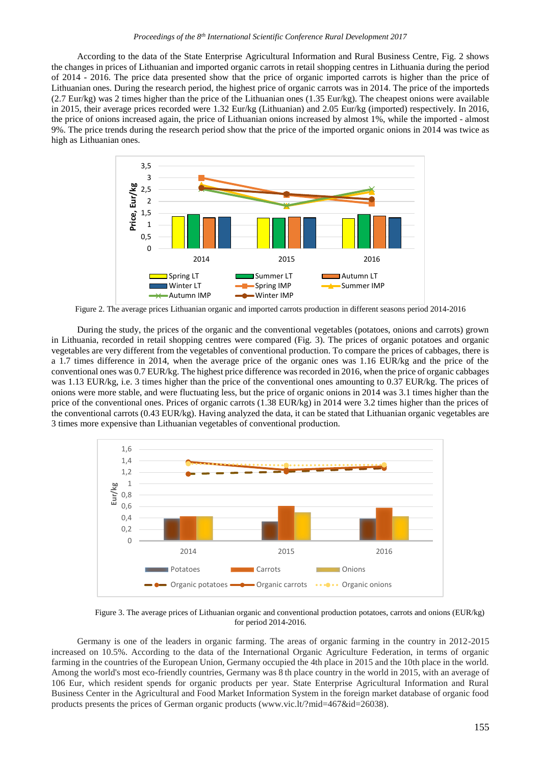According to the data of the State Enterprise Agricultural Information and Rural Business Centre, Fig. 2 shows the changes in prices of Lithuanian and imported organic carrots in retail shopping centres in Lithuania during the period of 2014 - 2016. The price data presented show that the price of organic imported carrots is higher than the price of Lithuanian ones. During the research period, the highest price of organic carrots was in 2014. The price of the importeds  $(2.7 \text{ Eur/kg})$  was 2 times higher than the price of the Lithuanian ones  $(1.35 \text{ Eur/kg})$ . The cheapest onions were available in 2015, their average prices recorded were 1.32 Eur/kg (Lithuanian) and 2.05 Eur/kg (imported) respectively. In 2016, the price of onions increased again, the price of Lithuanian onions increased by almost 1%, while the imported - almost 9%. The price trends during the research period show that the price of the imported organic onions in 2014 was twice as high as Lithuanian ones.



Figure 2. The average prices Lithuanian organic and imported carrots production in different seasons period 2014-2016

During the study, the prices of the organic and the conventional vegetables (potatoes, onions and carrots) grown in Lithuania, recorded in retail shopping centres were compared (Fig. 3). The prices of organic potatoes and organic vegetables are very different from the vegetables of conventional production. To compare the prices of cabbages, there is a 1.7 times difference in 2014, when the average price of the organic ones was 1.16 EUR/kg and the price of the conventional ones was 0.7 EUR/kg. The highest price difference was recorded in 2016, when the price of organic cabbages was 1.13 EUR/kg, i.e. 3 times higher than the price of the conventional ones amounting to 0.37 EUR/kg. The prices of onions were more stable, and were fluctuating less, but the price of organic onions in 2014 was 3.1 times higher than the price of the conventional ones. Prices of organic carrots (1.38 EUR/kg) in 2014 were 3.2 times higher than the prices of the conventional carrots (0.43 EUR/kg). Having analyzed the data, it can be stated that Lithuanian organic vegetables are 3 times more expensive than Lithuanian vegetables of conventional production.



Figure 3. The average prices of Lithuanian organic and conventional production potatoes, carrots and onions (EUR/kg) for period 2014-2016.

Germany is one of the leaders in organic farming. The areas of organic farming in the country in 2012-2015 increased on 10.5%. According to the data of the International Organic Agriculture Federation, in terms of organic farming in the countries of the European Union, Germany occupied the 4th place in 2015 and the 10th place in the world. Among the world's most eco-friendly countries, Germany was 8 th place country in the world in 2015, with an average of 106 Eur, which resident spends for organic products per year. State Enterprise Agricultural Information and Rural Business Center in the Agricultural and Food Market Information System in the foreign market database of organic food products presents the prices of German organic products (www.vic.lt/?mid=467&id=26038).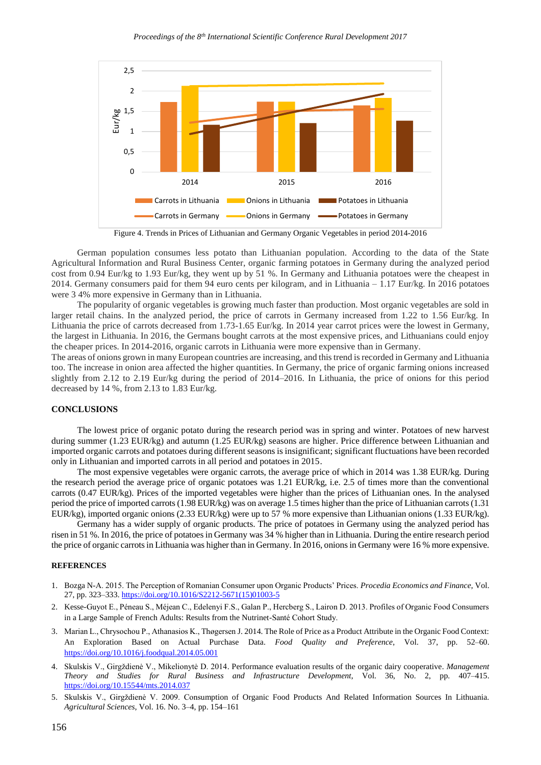

Figure 4. Trends in Prices of Lithuanian and Germany Organic Vegetables in period 2014-2016

German population consumes less potato than Lithuanian population. According to the data of the State Agricultural Information and Rural Business Center, organic farming potatoes in Germany during the analyzed period cost from 0.94 Eur/kg to 1.93 Eur/kg, they went up by 51 %. In Germany and Lithuania potatoes were the cheapest in 2014. Germany consumers paid for them 94 euro cents per kilogram, and in Lithuania – 1.17 Eur/kg. In 2016 potatoes were 3 4% more expensive in Germany than in Lithuania.

The popularity of organic vegetables is growing much faster than production. Most organic vegetables are sold in larger retail chains. In the analyzed period, the price of carrots in Germany increased from 1.22 to 1.56 Eur/kg. In Lithuania the price of carrots decreased from 1.73-1.65 Eur/kg. In 2014 year carrot prices were the lowest in Germany, the largest in Lithuania. In 2016, the Germans bought carrots at the most expensive prices, and Lithuanians could enjoy the cheaper prices. In 2014-2016, organic carrots in Lithuania were more expensive than in Germany.

The areas of onions grown in many European countries are increasing, and this trend is recorded in Germany and Lithuania too. The increase in onion area affected the higher quantities. In Germany, the price of organic farming onions increased slightly from 2.12 to 2.19 Eur/kg during the period of 2014–2016. In Lithuania, the price of onions for this period decreased by 14 %, from 2.13 to 1.83 Eur/kg.

#### **CONCLUSIONS**

The lowest price of organic potato during the research period was in spring and winter. Potatoes of new harvest during summer (1.23 EUR/kg) and autumn (1.25 EUR/kg) seasons are higher. Price difference between Lithuanian and imported organic carrots and potatoes during different seasons is insignificant; significant fluctuations have been recorded only in Lithuanian and imported carrots in all period and potatoes in 2015.

The most expensive vegetables were organic carrots, the average price of which in 2014 was 1.38 EUR/kg. During the research period the average price of organic potatoes was 1.21 EUR/kg, i.e. 2.5 of times more than the conventional carrots (0.47 EUR/kg). Prices of the imported vegetables were higher than the prices of Lithuanian ones. In the analysed period the price of imported carrots (1.98 EUR/kg) was on average 1.5 times higher than the price of Lithuanian carrots(1.31 EUR/kg), imported organic onions (2.33 EUR/kg) were up to 57 % more expensive than Lithuanian onions (1.33 EUR/kg).

Germany has a wider supply of organic products. The price of potatoes in Germany using the analyzed period has risen in 51 %. In 2016, the price of potatoes in Germany was 34 % higher than in Lithuania. During the entire research period the price of organic carrots in Lithuania was higher than in Germany. In 2016, onions in Germany were 16 % more expensive.

#### **REFERENCES**

- 1. Bozga N-A. 2015. The Perception of Romanian Consumer upon Organic Products' Prices. *Procedia Economics and Finance*, Vol. 27, pp. 323–333. [https://doi.org/10.1016/S2212-5671\(15\)01003-5](https://doi.org/10.1016/S2212-5671(15)01003-5)
- 2. Kesse-Guyot E., Péneau S., Méjean C., Edelenyi F.S., Galan P., Hercberg S., Lairon D. 2013. Profiles of Organic Food Consumers in a Large Sample of French Adults: Results from the Nutrinet-Santé Cohort Study.
- 3. Marian L., Chrysochou P., Athanasios K., Thøgersen J. 2014. The Role of Price as a Product Attribute in the Organic Food Context: An Exploration Based on Actual Purchase Data. *Food Quality and Preference*, Vol. 37, pp. 52–60. <https://doi.org/10.1016/j.foodqual.2014.05.001>
- 4. Skulskis V., Girgždienė V., Mikelionytė D. 2014. Performance evaluation results of the organic dairy cooperative. *Management Theory and Studies for Rural Business and Infrastructure Development*, Vol. 36, No. 2, pp. 407–415. <https://doi.org/10.15544/mts.2014.037>
- 5. Skulskis V., Girgždienė V. 2009. Consumption of Organic Food Products And Related Information Sources In Lithuania. *Agricultural Sciences*, Vol. 16. No. 3–4, pp. 154–161